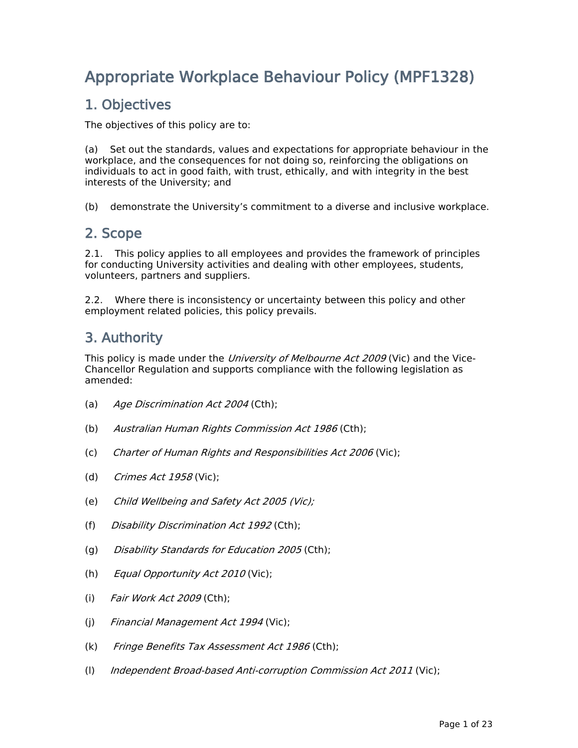# **Appropriate Workplace Behaviour Policy (MPF1328)**

## **1. Objectives**

The objectives of this policy are to:

(a) Set out the standards, values and expectations for appropriate behaviour in the workplace, and the consequences for not doing so, reinforcing the obligations on individuals to act in good faith, with trust, ethically, and with integrity in the best interests of the University; and

(b) demonstrate the University's commitment to a diverse and inclusive workplace.

## **2. Scope**

2.1. This policy applies to all employees and provides the framework of principles for conducting University activities and dealing with other employees, students, volunteers, partners and suppliers.

2.2. Where there is inconsistency or uncertainty between this policy and other employment related policies, this policy prevails.

## **3. Authority**

This policy is made under the *University of Melbourne Act 2009* (Vic) and the Vice-Chancellor Regulation and supports compliance with the following legislation as amended:

- (a) *Age Discrimination Act 2004* (Cth);
- (b) *Australian Human Rights Commission Act 1986* (Cth);
- (c) *Charter of Human Rights and Responsibilities Act 2006* (Vic);
- (d) *Crimes Act 1958* (Vic);
- (e) *Child Wellbeing and Safety Act 2005 (Vic);*
- (f) *Disability Discrimination Act 1992* (Cth);
- (g) *Disability Standards for Education 2005* (Cth);
- (h) *Equal Opportunity Act 2010* (Vic);
- (i) *Fair Work Act 2009* (Cth);
- (j) *Financial Management Act 1994* (Vic);
- (k) *Fringe Benefits Tax Assessment Act 1986* (Cth);
- (l) *Independent Broad-based Anti-corruption Commission Act 2011* (Vic);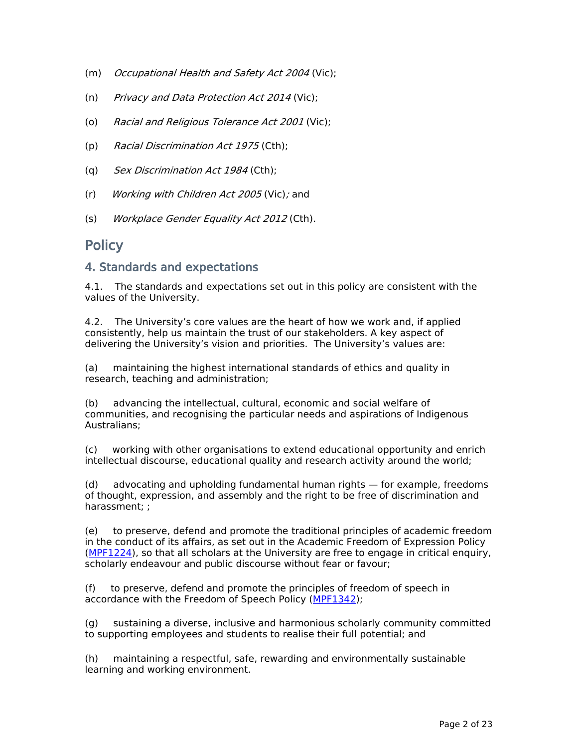- (m) *Occupational Health and Safety Act 2004* (Vic);
- (n) *Privacy and Data Protection Act 2014* (Vic);
- (o) *Racial and Religious Tolerance Act 2001* (Vic);
- (p) *Racial Discrimination Act 1975* (Cth);
- (q) *Sex Discrimination Act 1984* (Cth);
- (r) *Working with Children Act 2005* (Vic)*;* and
- (s) *Workplace Gender Equality Act 2012* (Cth).

### **Policy**

#### **4. Standards and expectations**

4.1. The standards and expectations set out in this policy are consistent with the values of the University.

4.2. The University's core values are the heart of how we work and, if applied consistently, help us maintain the trust of our stakeholders. A key aspect of delivering the University's vision and priorities. The University's values are:

(a) maintaining the highest international standards of ethics and quality in research, teaching and administration;

(b) advancing the intellectual, cultural, economic and social welfare of communities, and recognising the particular needs and aspirations of Indigenous Australians;

(c) working with other organisations to extend educational opportunity and enrich intellectual discourse, educational quality and research activity around the world;

(d) advocating and upholding fundamental human rights — for example, freedoms of thought, expression, and assembly and the right to be free of discrimination and harassment; ;

(e) to preserve, defend and promote the traditional principles of academic freedom in the conduct of its affairs, as set out in the Academic Freedom of Expression Policy ([MPF1224\)](file:/usr/local/tomcat/MPF1224), so that all scholars at the University are free to engage in critical enquiry, scholarly endeavour and public discourse without fear or favour;

(f) to preserve, defend and promote the principles of freedom of speech in accordance with the Freedom of Speech Policy ([MPF1342](file:/usr/local/tomcat/MPF1342));

(g) sustaining a diverse, inclusive and harmonious scholarly community committed to supporting employees and students to realise their full potential; and

(h) maintaining a respectful, safe, rewarding and environmentally sustainable learning and working environment.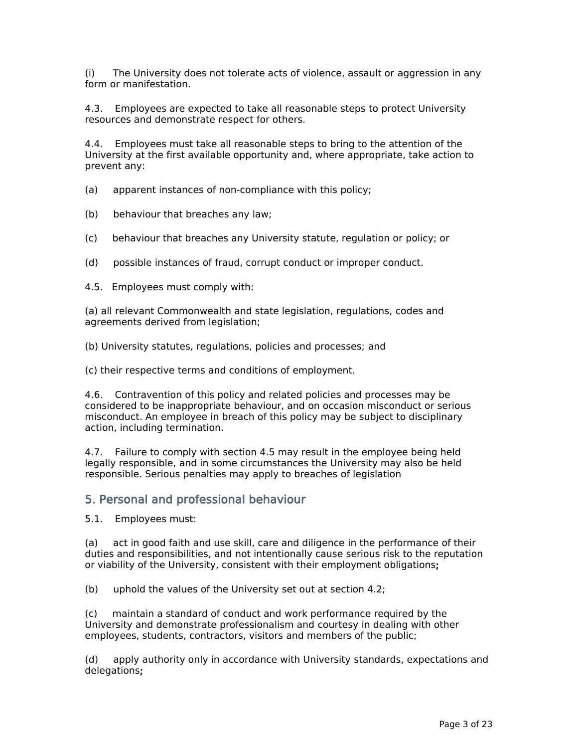(i) The University does not tolerate acts of violence, assault or aggression in any form or manifestation.

4.3. Employees are expected to take all reasonable steps to protect University resources and demonstrate respect for others.

4.4. Employees must take all reasonable steps to bring to the attention of the University at the first available opportunity and, where appropriate, take action to prevent any:

(a) apparent instances of non-compliance with this policy;

- (b) behaviour that breaches any law;
- (c) behaviour that breaches any University statute, regulation or policy; or
- (d) possible instances of fraud, corrupt conduct or improper conduct.
- 4.5. Employees must comply with:

(a) all relevant Commonwealth and state legislation, regulations, codes and agreements derived from legislation;

(b) University statutes, regulations, policies and processes; and

(c) their respective terms and conditions of employment.

4.6. Contravention of this policy and related policies and processes may be considered to be inappropriate behaviour, and on occasion misconduct or serious misconduct. An employee in breach of this policy may be subject to disciplinary action, including termination.

4.7. Failure to comply with section 4.5 may result in the employee being held legally responsible, and in some circumstances the University may also be held responsible. Serious penalties may apply to breaches of legislation

#### **5. Personal and professional behaviour**

5.1. Employees must:

(a) act in good faith and use skill, care and diligence in the performance of their duties and responsibilities, and not intentionally cause serious risk to the reputation or viability of the University, consistent with their employment obligations**;**

(b) uphold the values of the University set out at section 4.2;

(c) maintain a standard of conduct and work performance required by the University and demonstrate professionalism and courtesy in dealing with other employees, students, contractors, visitors and members of the public;

(d) apply authority only in accordance with University standards, expectations and delegations**;**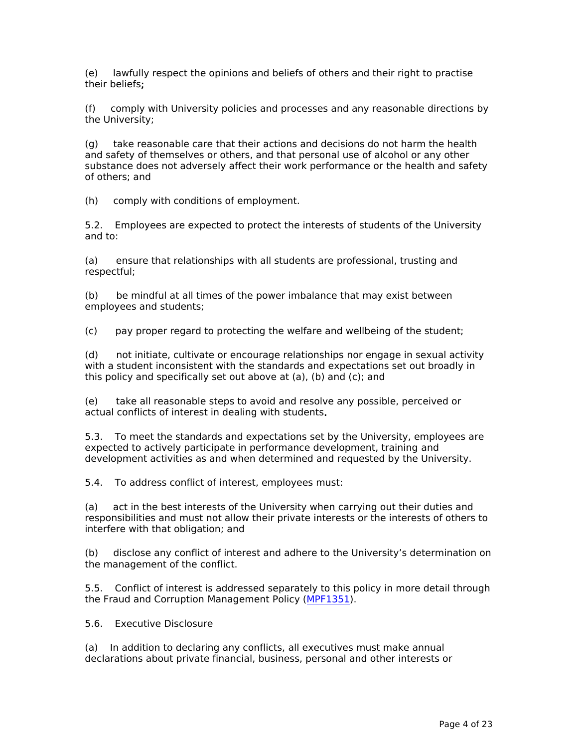(e) lawfully respect the opinions and beliefs of others and their right to practise their beliefs**;**

(f) comply with University policies and processes and any reasonable directions by the University;

(g) take reasonable care that their actions and decisions do not harm the health and safety of themselves or others, and that personal use of alcohol or any other substance does not adversely affect their work performance or the health and safety of others; and

(h) comply with conditions of employment.

5.2. Employees are expected to protect the interests of students of the University and to:

(a) ensure that relationships with all students are professional, trusting and respectful;

(b) be mindful at all times of the power imbalance that may exist between employees and students;

(c) pay proper regard to protecting the welfare and wellbeing of the student;

(d) not initiate, cultivate or encourage relationships nor engage in sexual activity with a student inconsistent with the standards and expectations set out broadly in this policy and specifically set out above at (a), (b) and (c); and

(e) take all reasonable steps to avoid and resolve any possible, perceived or actual conflicts of interest in dealing with students**.**

5.3. To meet the standards and expectations set by the University, employees are expected to actively participate in performance development, training and development activities as and when determined and requested by the University.

5.4. To address conflict of interest, employees must:

(a) act in the best interests of the University when carrying out their duties and responsibilities and must not allow their private interests or the interests of others to interfere with that obligation; and

(b) disclose any conflict of interest and adhere to the University's determination on the management of the conflict.

5.5. Conflict of interest is addressed separately to this policy in more detail through the Fraud and Corruption Management Policy ([MPF1351\)](file:/usr/local/tomcat/MPF1351).

5.6. Executive Disclosure

(a) In addition to declaring any conflicts, all executives must make annual declarations about private financial, business, personal and other interests or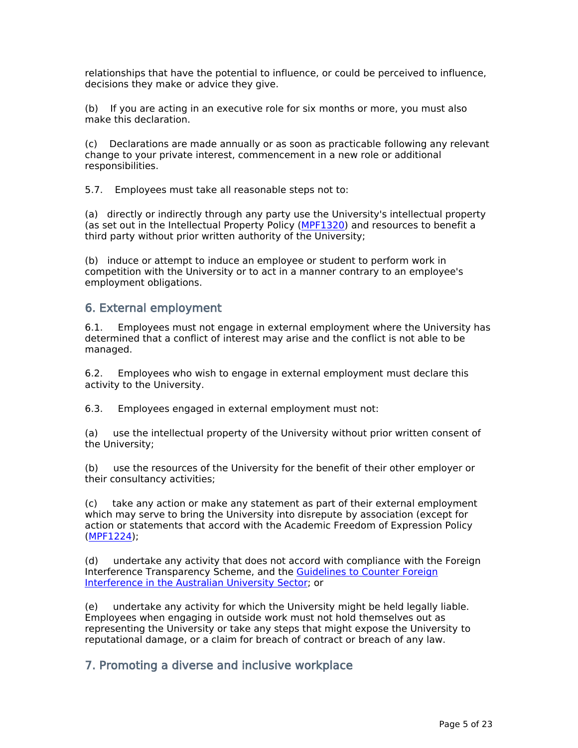relationships that have the potential to influence, or could be perceived to influence, decisions they make or advice they give.

(b) If you are acting in an executive role for six months or more, you must also make this declaration.

(c) Declarations are made annually or as soon as practicable following any relevant change to your private interest, commencement in a new role or additional responsibilities.

5.7. Employees must take all reasonable steps not to:

(a) directly or indirectly through any party use the University's intellectual property (as set out in the Intellectual Property Policy [\(MPF1320](file:/usr/local/tomcat/MPF1320)) and resources to benefit a third party without prior written authority of the University;

(b) induce or attempt to induce an employee or student to perform work in competition with the University or to act in a manner contrary to an employee's employment obligations.

### **6. External employment**

6.1. Employees must not engage in external employment where the University has determined that a conflict of interest may arise and the conflict is not able to be managed.

6.2. Employees who wish to engage in external employment must declare this activity to the University.

6.3. Employees engaged in external employment must not:

(a) use the intellectual property of the University without prior written consent of the University;

(b) use the resources of the University for the benefit of their other employer or their consultancy activities;

(c) take any action or make any statement as part of their external employment which may serve to bring the University into disrepute by association (except for action or statements that accord with the Academic Freedom of Expression Policy ([MPF1224\)](file:/usr/local/tomcat/MPF1224);

(d) undertake any activity that does not accord with compliance with the Foreign Interference Transparency Scheme, and the [Guidelines](https://www.dese.gov.au/uncategorised/resources/guidelines-counter-foreign-interference-australian-university-sector#:~:text=Guidelines%20to%20Counter%20Foreign%20Interference%20in%20the%20Australian%20University%20Sector,-If%20you%20have&text=They%20are%20designed%20to%20build,the%20risks%20from%20foreign%20interference.) [to](https://www.dese.gov.au/uncategorised/resources/guidelines-counter-foreign-interference-australian-university-sector#:~:text=Guidelines%20to%20Counter%20Foreign%20Interference%20in%20the%20Australian%20University%20Sector,-If%20you%20have&text=They%20are%20designed%20to%20build,the%20risks%20from%20foreign%20interference.) [Counter](https://www.dese.gov.au/uncategorised/resources/guidelines-counter-foreign-interference-australian-university-sector#:~:text=Guidelines%20to%20Counter%20Foreign%20Interference%20in%20the%20Australian%20University%20Sector,-If%20you%20have&text=They%20are%20designed%20to%20build,the%20risks%20from%20foreign%20interference.) [Foreign](https://www.dese.gov.au/uncategorised/resources/guidelines-counter-foreign-interference-australian-university-sector#:~:text=Guidelines%20to%20Counter%20Foreign%20Interference%20in%20the%20Australian%20University%20Sector,-If%20you%20have&text=They%20are%20designed%20to%20build,the%20risks%20from%20foreign%20interference.) [Interference](https://www.dese.gov.au/uncategorised/resources/guidelines-counter-foreign-interference-australian-university-sector#:~:text=Guidelines%20to%20Counter%20Foreign%20Interference%20in%20the%20Australian%20University%20Sector,-If%20you%20have&text=They%20are%20designed%20to%20build,the%20risks%20from%20foreign%20interference.) [in](https://www.dese.gov.au/uncategorised/resources/guidelines-counter-foreign-interference-australian-university-sector#:~:text=Guidelines%20to%20Counter%20Foreign%20Interference%20in%20the%20Australian%20University%20Sector,-If%20you%20have&text=They%20are%20designed%20to%20build,the%20risks%20from%20foreign%20interference.) [the](https://www.dese.gov.au/uncategorised/resources/guidelines-counter-foreign-interference-australian-university-sector#:~:text=Guidelines%20to%20Counter%20Foreign%20Interference%20in%20the%20Australian%20University%20Sector,-If%20you%20have&text=They%20are%20designed%20to%20build,the%20risks%20from%20foreign%20interference.) [Australian](https://www.dese.gov.au/uncategorised/resources/guidelines-counter-foreign-interference-australian-university-sector#:~:text=Guidelines%20to%20Counter%20Foreign%20Interference%20in%20the%20Australian%20University%20Sector,-If%20you%20have&text=They%20are%20designed%20to%20build,the%20risks%20from%20foreign%20interference.) [University](https://www.dese.gov.au/uncategorised/resources/guidelines-counter-foreign-interference-australian-university-sector#:~:text=Guidelines%20to%20Counter%20Foreign%20Interference%20in%20the%20Australian%20University%20Sector,-If%20you%20have&text=They%20are%20designed%20to%20build,the%20risks%20from%20foreign%20interference.) [Sector;](https://www.dese.gov.au/uncategorised/resources/guidelines-counter-foreign-interference-australian-university-sector#:~:text=Guidelines%20to%20Counter%20Foreign%20Interference%20in%20the%20Australian%20University%20Sector,-If%20you%20have&text=They%20are%20designed%20to%20build,the%20risks%20from%20foreign%20interference.) or

(e) undertake any activity for which the University might be held legally liable. Employees when engaging in outside work must not hold themselves out as representing the University or take any steps that might expose the University to reputational damage, or a claim for breach of contract or breach of any law.

### **7. Promoting a diverse and inclusive workplace**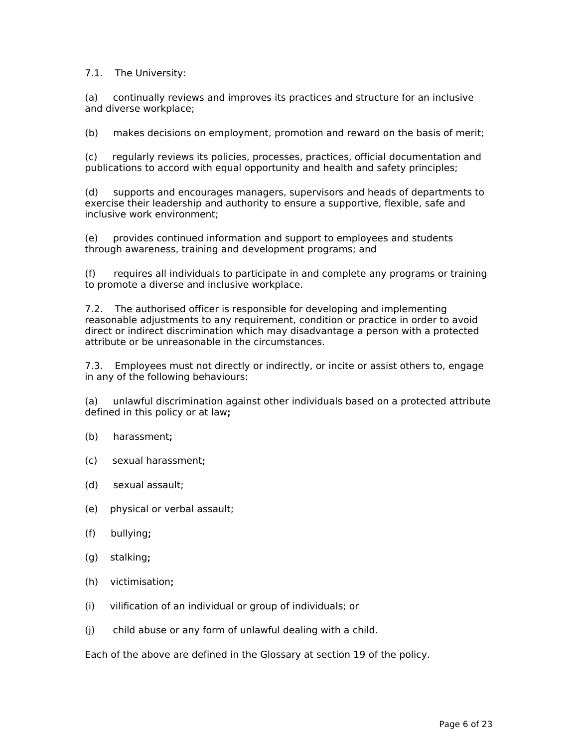7.1. The University:

(a) continually reviews and improves its practices and structure for an inclusive and diverse workplace;

(b) makes decisions on employment, promotion and reward on the basis of merit;

(c) regularly reviews its policies, processes, practices, official documentation and publications to accord with equal opportunity and health and safety principles;

(d) supports and encourages managers, supervisors and heads of departments to exercise their leadership and authority to ensure a supportive, flexible, safe and inclusive work environment;

(e) provides continued information and support to employees and students through awareness, training and development programs; and

(f) requires all individuals to participate in and complete any programs or training to promote a diverse and inclusive workplace.

7.2. The authorised officer is responsible for developing and implementing reasonable adjustments to any requirement, condition or practice in order to avoid direct or indirect discrimination which may disadvantage a person with a protected attribute or be unreasonable in the circumstances.

7.3. Employees must not directly or indirectly, or incite or assist others to, engage in any of the following behaviours:

(a) unlawful discrimination against other individuals based on a protected attribute defined in this policy or at law**;**

- (b) harassment**;**
- (c) sexual harassment**;**
- (d) sexual assault;
- (e) physical or verbal assault;
- (f) bullying**;**
- (g) stalking**;**
- (h) victimisation**;**
- (i) vilification of an individual or group of individuals; or
- (j) child abuse or any form of unlawful dealing with a child.

Each of the above are defined in the Glossary at section 19 of the policy.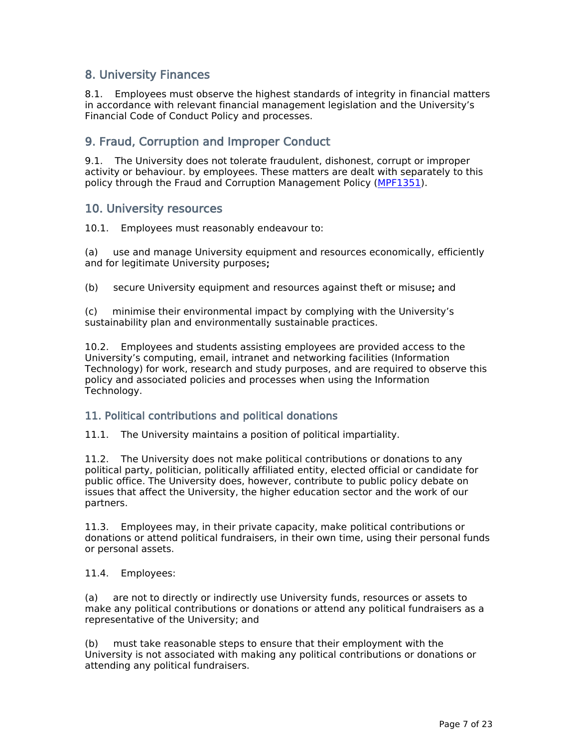### **8. University Finances**

8.1. Employees must observe the highest standards of integrity in financial matters in accordance with relevant financial management legislation and the University's Financial Code of Conduct Policy and processes.

### **9. Fraud, Corruption and Improper Conduct**

9.1. The University does not tolerate fraudulent, dishonest, corrupt or improper activity or behaviour. by employees. These matters are dealt with separately to this policy through the Fraud and Corruption Management Policy [\(MPF1351\)](file:/usr/local/tomcat/MPF1351).

### **10. University resources**

10.1. Employees must reasonably endeavour to:

(a) use and manage University equipment and resources economically, efficiently and for legitimate University purposes**;**

(b) secure University equipment and resources against theft or misuse**;** and

(c) minimise their environmental impact by complying with the University's sustainability plan and environmentally sustainable practices.

10.2. Employees and students assisting employees are provided access to the University's computing, email, intranet and networking facilities (Information Technology) for work, research and study purposes, and are required to observe this policy and associated policies and processes when using the Information Technology.

#### **11. Political contributions and political donations**

11.1. The University maintains a position of political impartiality.

11.2. The University does not make political contributions or donations to any political party, politician, politically affiliated entity, elected official or candidate for public office. The University does, however, contribute to public policy debate on issues that affect the University, the higher education sector and the work of our partners.

11.3. Employees may, in their private capacity, make political contributions or donations or attend political fundraisers, in their own time, using their personal funds or personal assets.

11.4. Employees:

(a) are not to directly or indirectly use University funds, resources or assets to make any political contributions or donations or attend any political fundraisers as a representative of the University; and

(b) must take reasonable steps to ensure that their employment with the University is not associated with making any political contributions or donations or attending any political fundraisers.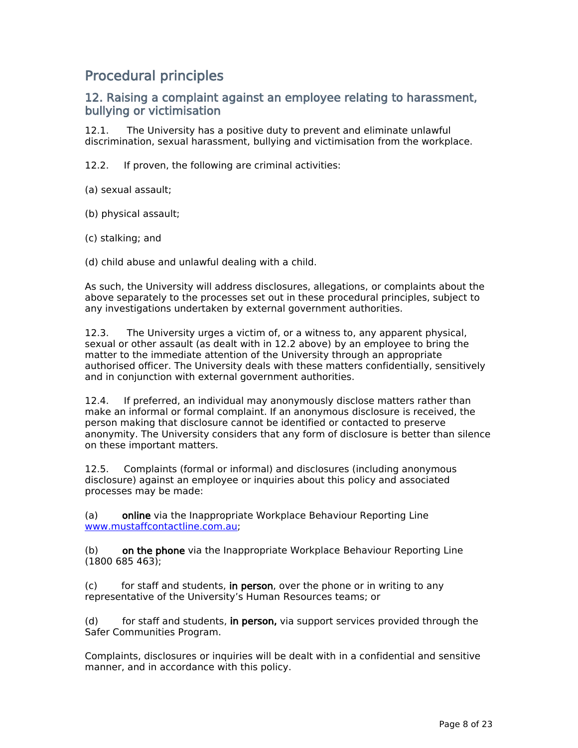## **Procedural principles**

### **12. Raising a complaint against an employee relating to harassment, bullying or victimisation**

12.1. The University has a positive duty to prevent and eliminate unlawful discrimination, sexual harassment, bullying and victimisation from the workplace.

12.2. If proven, the following are criminal activities:

(a) sexual assault;

(b) physical assault;

(c) stalking; and

(d) child abuse and unlawful dealing with a child.

As such, the University will address disclosures, allegations, or complaints about the above separately to the processes set out in these procedural principles, subject to any investigations undertaken by external government authorities.

12.3. The University urges a victim of, or a witness to, any apparent physical, sexual or other assault (as dealt with in 12.2 above) by an employee to bring the matter to the immediate attention of the University through an appropriate authorised officer. The University deals with these matters confidentially, sensitively and in conjunction with external government authorities.

12.4. If preferred, an individual may anonymously disclose matters rather than make an informal or formal complaint. If an anonymous disclosure is received, the person making that disclosure cannot be identified or contacted to preserve anonymity. The University considers that any form of disclosure is better than silence on these important matters.

12.5. Complaints (formal or informal) and disclosures (including anonymous disclosure) against an employee or inquiries about this policy and associated processes may be made:

(a) **online** via the Inappropriate Workplace Behaviour Reporting Line [www.mustaffcontactline.com.au;](http://www.mustaffcontactline.com.au)

(b) **on the phone** via the Inappropriate Workplace Behaviour Reporting Line (1800 685 463);

(c) for staff and students, **in person**, over the phone or in writing to any representative of the University's Human Resources teams; or

(d) for staff and students, **in person,** via support services provided through the Safer Communities Program.

Complaints, disclosures or inquiries will be dealt with in a confidential and sensitive manner, and in accordance with this policy.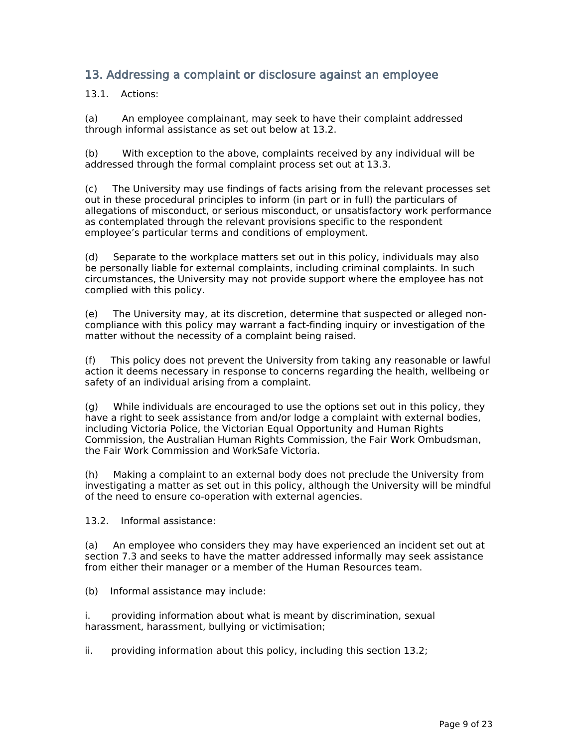### **13. Addressing a complaint or disclosure against an employee**

13.1. Actions:

(a) An employee complainant, may seek to have their complaint addressed through informal assistance as set out below at 13.2.

(b) With exception to the above, complaints received by any individual will be addressed through the formal complaint process set out at 13.3.

(c) The University may use findings of facts arising from the relevant processes set out in these procedural principles to inform (in part or in full) the particulars of allegations of misconduct, or serious misconduct, or unsatisfactory work performance as contemplated through the relevant provisions specific to the respondent employee's particular terms and conditions of employment.

(d) Separate to the workplace matters set out in this policy, individuals may also be personally liable for external complaints, including criminal complaints. In such circumstances, the University may not provide support where the employee has not complied with this policy.

(e) The University may, at its discretion, determine that suspected or alleged noncompliance with this policy may warrant a fact-finding inquiry or investigation of the matter without the necessity of a complaint being raised.

(f) This policy does not prevent the University from taking any reasonable or lawful action it deems necessary in response to concerns regarding the health, wellbeing or safety of an individual arising from a complaint.

(g) While individuals are encouraged to use the options set out in this policy, they have a right to seek assistance from and/or lodge a complaint with external bodies, including Victoria Police, the Victorian Equal Opportunity and Human Rights Commission, the Australian Human Rights Commission, the Fair Work Ombudsman, the Fair Work Commission and WorkSafe Victoria.

(h) Making a complaint to an external body does not preclude the University from investigating a matter as set out in this policy, although the University will be mindful of the need to ensure co-operation with external agencies.

13.2. Informal assistance:

(a) An employee who considers they may have experienced an incident set out at section 7.3 and seeks to have the matter addressed informally may seek assistance from either their manager or a member of the Human Resources team.

(b) Informal assistance may include:

i. providing information about what is meant by discrimination, sexual harassment, harassment, bullying or victimisation;

ii. providing information about this policy, including this section 13.2;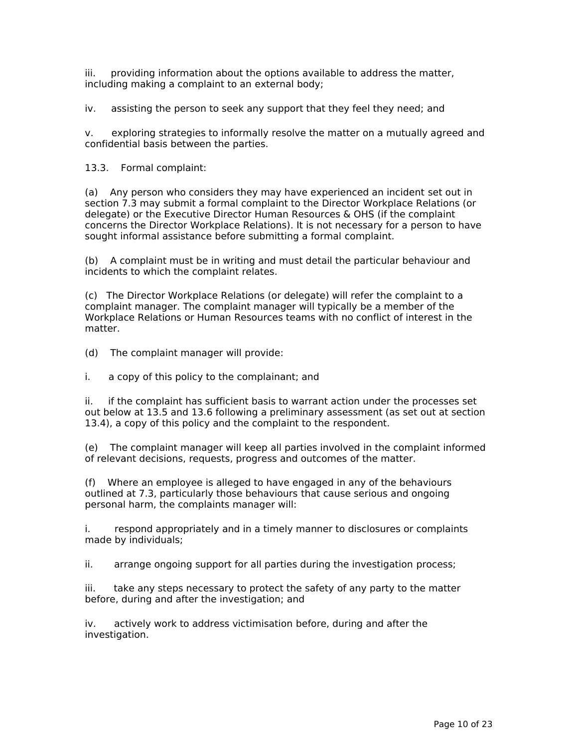iii. providing information about the options available to address the matter, including making a complaint to an external body;

iv. assisting the person to seek any support that they feel they need; and

v. exploring strategies to informally resolve the matter on a mutually agreed and confidential basis between the parties.

13.3. Formal complaint:

(a) Any person who considers they may have experienced an incident set out in section 7.3 may submit a formal complaint to the Director Workplace Relations (or delegate) or the Executive Director Human Resources & OHS (if the complaint concerns the Director Workplace Relations). It is not necessary for a person to have sought informal assistance before submitting a formal complaint.

(b) A complaint must be in writing and must detail the particular behaviour and incidents to which the complaint relates.

(c) The Director Workplace Relations (or delegate) will refer the complaint to a complaint manager. The complaint manager will typically be a member of the Workplace Relations or Human Resources teams with no conflict of interest in the matter.

(d) The complaint manager will provide:

i. a copy of this policy to the complainant; and

ii. if the complaint has sufficient basis to warrant action under the processes set out below at 13.5 and 13.6 following a preliminary assessment (as set out at section 13.4), a copy of this policy and the complaint to the respondent.

(e) The complaint manager will keep all parties involved in the complaint informed of relevant decisions, requests, progress and outcomes of the matter.

(f) Where an employee is alleged to have engaged in any of the behaviours outlined at 7.3, particularly those behaviours that cause serious and ongoing personal harm, the complaints manager will:

i. respond appropriately and in a timely manner to disclosures or complaints made by individuals;

ii. arrange ongoing support for all parties during the investigation process;

iii. take any steps necessary to protect the safety of any party to the matter before, during and after the investigation; and

iv. actively work to address victimisation before, during and after the investigation.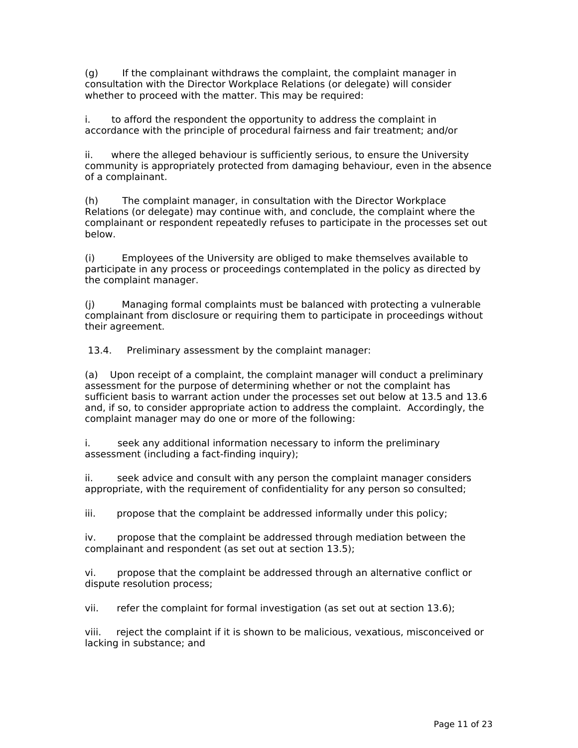(g) If the complainant withdraws the complaint, the complaint manager in consultation with the Director Workplace Relations (or delegate) will consider whether to proceed with the matter. This may be required:

i. to afford the respondent the opportunity to address the complaint in accordance with the principle of procedural fairness and fair treatment; and/or

ii. where the alleged behaviour is sufficiently serious, to ensure the University community is appropriately protected from damaging behaviour, even in the absence of a complainant.

(h) The complaint manager, in consultation with the Director Workplace Relations (or delegate) may continue with, and conclude, the complaint where the complainant or respondent repeatedly refuses to participate in the processes set out below.

(i) Employees of the University are obliged to make themselves available to participate in any process or proceedings contemplated in the policy as directed by the complaint manager.

(j) Managing formal complaints must be balanced with protecting a vulnerable complainant from disclosure or requiring them to participate in proceedings without their agreement.

13.4. Preliminary assessment by the complaint manager:

(a) Upon receipt of a complaint, the complaint manager will conduct a preliminary assessment for the purpose of determining whether or not the complaint has sufficient basis to warrant action under the processes set out below at 13.5 and 13.6 and, if so, to consider appropriate action to address the complaint. Accordingly, the complaint manager may do one or more of the following:

i. seek any additional information necessary to inform the preliminary assessment (including a fact-finding inquiry);

ii. seek advice and consult with any person the complaint manager considers appropriate, with the requirement of confidentiality for any person so consulted;

iii. propose that the complaint be addressed informally under this policy;

iv. propose that the complaint be addressed through mediation between the complainant and respondent (as set out at section 13.5);

vi. propose that the complaint be addressed through an alternative conflict or dispute resolution process;

vii. refer the complaint for formal investigation (as set out at section 13.6);

viii. reject the complaint if it is shown to be malicious, vexatious, misconceived or lacking in substance; and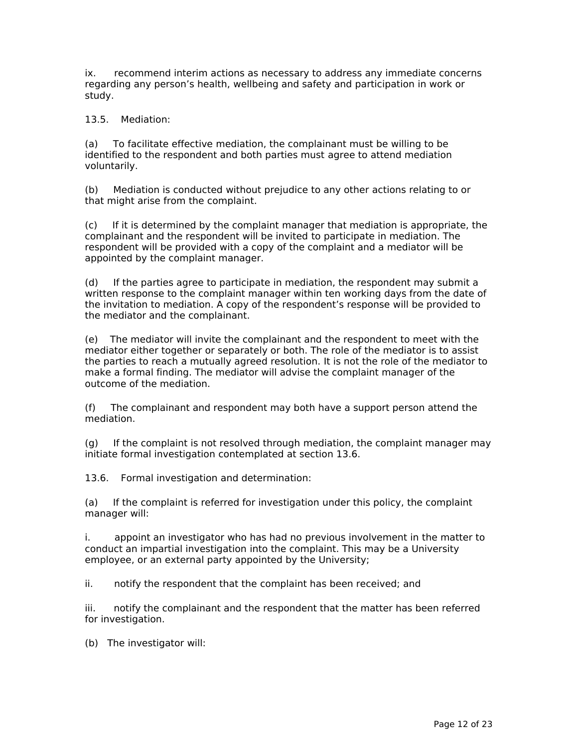ix. recommend interim actions as necessary to address any immediate concerns regarding any person's health, wellbeing and safety and participation in work or study.

13.5. Mediation:

(a) To facilitate effective mediation, the complainant must be willing to be identified to the respondent and both parties must agree to attend mediation voluntarily.

(b) Mediation is conducted without prejudice to any other actions relating to or that might arise from the complaint.

(c) If it is determined by the complaint manager that mediation is appropriate, the complainant and the respondent will be invited to participate in mediation. The respondent will be provided with a copy of the complaint and a mediator will be appointed by the complaint manager.

(d) If the parties agree to participate in mediation, the respondent may submit a written response to the complaint manager within ten working days from the date of the invitation to mediation. A copy of the respondent's response will be provided to the mediator and the complainant.

(e) The mediator will invite the complainant and the respondent to meet with the mediator either together or separately or both. The role of the mediator is to assist the parties to reach a mutually agreed resolution. It is not the role of the mediator to make a formal finding. The mediator will advise the complaint manager of the outcome of the mediation.

(f) The complainant and respondent may both have a support person attend the mediation.

(g) If the complaint is not resolved through mediation, the complaint manager may initiate formal investigation contemplated at section 13.6.

13.6. Formal investigation and determination:

(a) If the complaint is referred for investigation under this policy, the complaint manager will:

i. appoint an investigator who has had no previous involvement in the matter to conduct an impartial investigation into the complaint. This may be a University employee, or an external party appointed by the University;

ii. notify the respondent that the complaint has been received; and

iii. notify the complainant and the respondent that the matter has been referred for investigation.

(b) The investigator will: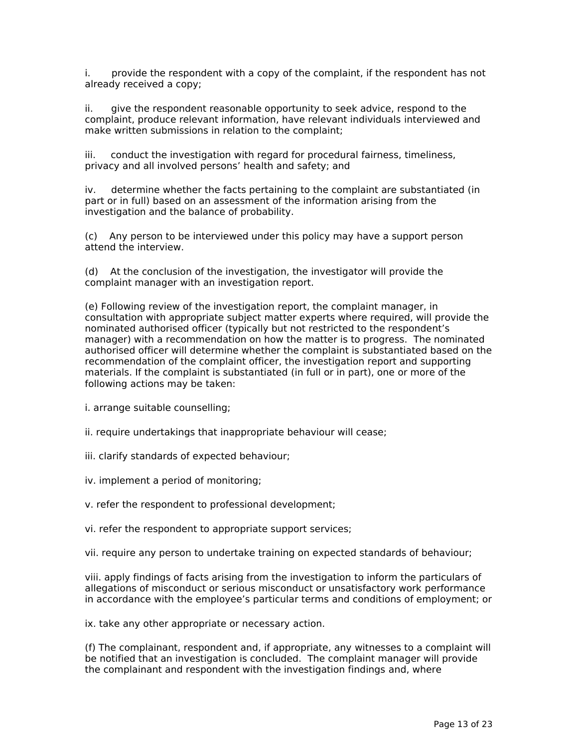i. provide the respondent with a copy of the complaint, if the respondent has not already received a copy;

ii. give the respondent reasonable opportunity to seek advice, respond to the complaint, produce relevant information, have relevant individuals interviewed and make written submissions in relation to the complaint;

iii. conduct the investigation with regard for procedural fairness, timeliness, privacy and all involved persons' health and safety; and

iv. determine whether the facts pertaining to the complaint are substantiated (in part or in full) based on an assessment of the information arising from the investigation and the balance of probability.

(c) Any person to be interviewed under this policy may have a support person attend the interview.

(d) At the conclusion of the investigation, the investigator will provide the complaint manager with an investigation report.

(e) Following review of the investigation report, the complaint manager, in consultation with appropriate subject matter experts where required, will provide the nominated authorised officer (typically but not restricted to the respondent's manager) with a recommendation on how the matter is to progress. The nominated authorised officer will determine whether the complaint is substantiated based on the recommendation of the complaint officer, the investigation report and supporting materials. If the complaint is substantiated (in full or in part), one or more of the following actions may be taken:

i. arrange suitable counselling;

ii. require undertakings that inappropriate behaviour will cease;

iii. clarify standards of expected behaviour;

iv. implement a period of monitoring;

v. refer the respondent to professional development;

vi. refer the respondent to appropriate support services;

vii. require any person to undertake training on expected standards of behaviour;

viii. apply findings of facts arising from the investigation to inform the particulars of allegations of misconduct or serious misconduct or unsatisfactory work performance in accordance with the employee's particular terms and conditions of employment; or

ix. take any other appropriate or necessary action.

(f) The complainant, respondent and, if appropriate, any witnesses to a complaint will be notified that an investigation is concluded. The complaint manager will provide the complainant and respondent with the investigation findings and, where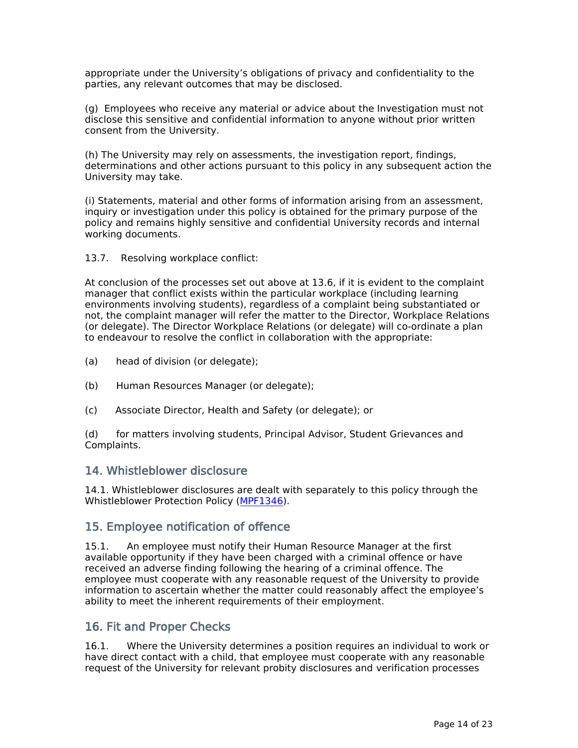appropriate under the University's obligations of privacy and confidentiality to the parties, any relevant outcomes that may be disclosed.

(g) Employees who receive any material or advice about the Investigation must not disclose this sensitive and confidential information to anyone without prior written consent from the University.

(h) The University may rely on assessments, the investigation report, findings, determinations and other actions pursuant to this policy in any subsequent action the University may take.

(i) Statements, material and other forms of information arising from an assessment, inquiry or investigation under this policy is obtained for the primary purpose of the policy and remains highly sensitive and confidential University records and internal working documents.

#### 13.7. Resolving workplace conflict:

At conclusion of the processes set out above at 13.6, if it is evident to the complaint manager that conflict exists within the particular workplace (including learning environments involving students), regardless of a complaint being substantiated or not, the complaint manager will refer the matter to the Director, Workplace Relations (or delegate). The Director Workplace Relations (or delegate) will co-ordinate a plan to endeavour to resolve the conflict in collaboration with the appropriate:

- (a) head of division (or delegate);
- (b) Human Resources Manager (or delegate);
- (c) Associate Director, Health and Safety (or delegate); or

(d) for matters involving students, Principal Advisor, Student Grievances and Complaints.

#### **14. Whistleblower disclosure**

14.1. Whistleblower disclosures are dealt with separately to this policy through the Whistleblower Protection Policy [\(MPF1346\)](file:/usr/local/tomcat/MPF1346).

#### **15. Employee notification of offence**

15.1. An employee must notify their Human Resource Manager at the first available opportunity if they have been charged with a criminal offence or have received an adverse finding following the hearing of a criminal offence. The employee must cooperate with any reasonable request of the University to provide information to ascertain whether the matter could reasonably affect the employee's ability to meet the inherent requirements of their employment.

#### **16. Fit and Proper Checks**

16.1. Where the University determines a position requires an individual to work or have direct contact with a child, that employee must cooperate with any reasonable request of the University for relevant probity disclosures and verification processes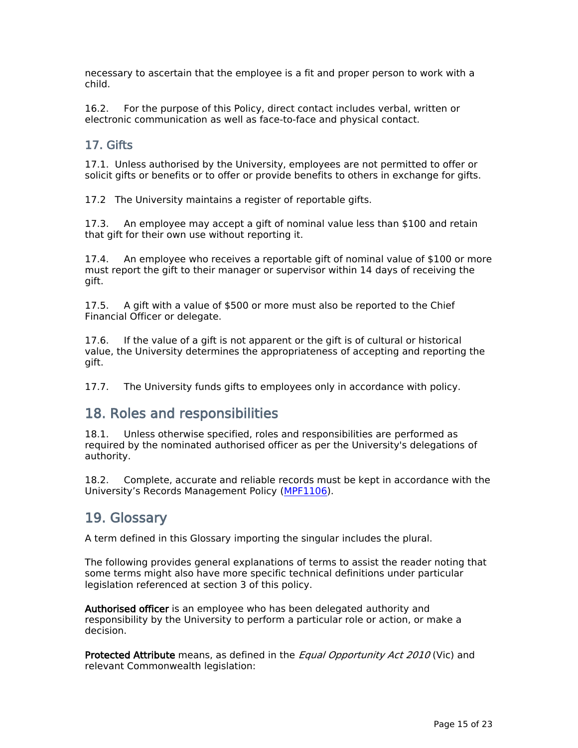necessary to ascertain that the employee is a fit and proper person to work with a child.

16.2. For the purpose of this Policy, direct contact includes verbal, written or electronic communication as well as face-to-face and physical contact.

### **17. Gifts**

17.1. Unless authorised by the University, employees are not permitted to offer or solicit gifts or benefits or to offer or provide benefits to others in exchange for gifts.

17.2 The University maintains a register of reportable gifts.

17.3. An employee may accept a gift of nominal value less than \$100 and retain that gift for their own use without reporting it.

17.4. An employee who receives a reportable gift of nominal value of \$100 or more must report the gift to their manager or supervisor within 14 days of receiving the gift.

17.5. A gift with a value of \$500 or more must also be reported to the Chief Financial Officer or delegate.

17.6. If the value of a gift is not apparent or the gift is of cultural or historical value, the University determines the appropriateness of accepting and reporting the gift.

17.7. The University funds gifts to employees only in accordance with policy.

## **18. Roles and responsibilities**

18.1. Unless otherwise specified, roles and responsibilities are performed as required by the nominated authorised officer as per the University's delegations of authority.

18.2. Complete, accurate and reliable records must be kept in accordance with the University's Records Management Policy ([MPF1106\)](file:/usr/local/tomcat/MPF1106).

## **19. Glossary**

A term defined in this Glossary importing the singular includes the plural.

The following provides general explanations of terms to assist the reader noting that some terms might also have more specific technical definitions under particular legislation referenced at section 3 of this policy.

**Authorised officer** is an employee who has been delegated authority and responsibility by the University to perform a particular role or action, or make a decision.

**Protected Attribute** means, as defined in the *Equal Opportunity Act 2010* (Vic) and relevant Commonwealth legislation: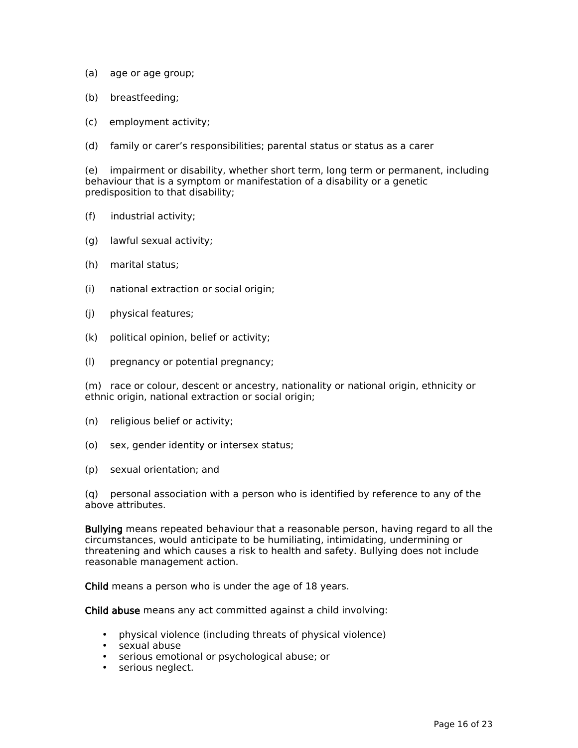- (a) age or age group;
- (b) breastfeeding;
- (c) employment activity;
- (d) family or carer's responsibilities; parental status or status as a carer

(e) impairment or disability, whether short term, long term or permanent, including behaviour that is a symptom or manifestation of a disability or a genetic predisposition to that disability;

- (f) industrial activity;
- (g) lawful sexual activity;
- (h) marital status;
- (i) national extraction or social origin;
- (j) physical features;
- (k) political opinion, belief or activity;
- (l) pregnancy or potential pregnancy;

(m) race or colour, descent or ancestry, nationality or national origin, ethnicity or ethnic origin, national extraction or social origin;

- (n) religious belief or activity;
- (o) sex, gender identity or intersex status;
- (p) sexual orientation; and

(q) personal association with a person who is identified by reference to any of the above attributes.

**Bullying** means repeated behaviour that a reasonable person, having regard to all the circumstances, would anticipate to be humiliating, intimidating, undermining or threatening and which causes a risk to health and safety. Bullying does not include reasonable management action.

**Child** means a person who is under the age of 18 years.

**Child abuse** means any act committed against a child involving:

- physical violence (including threats of physical violence)
- sexual abuse
- serious emotional or psychological abuse; or
- serious neglect.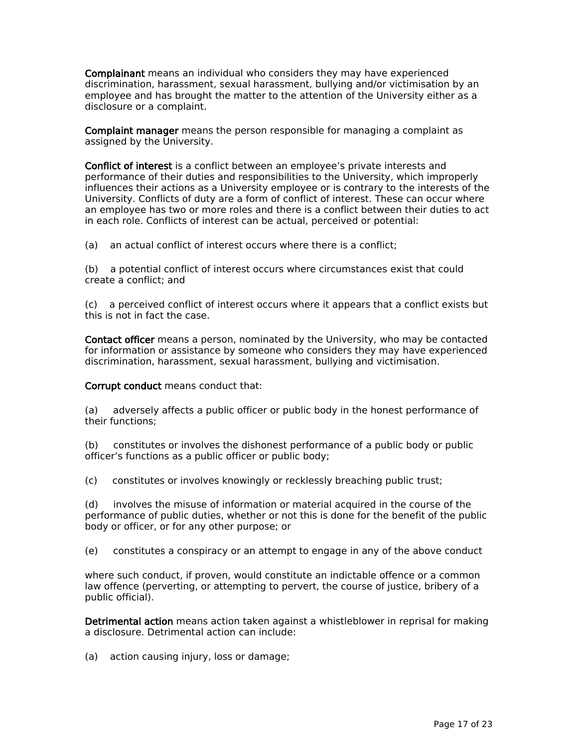**Complainant** means an individual who considers they may have experienced discrimination, harassment, sexual harassment, bullying and/or victimisation by an employee and has brought the matter to the attention of the University either as a disclosure or a complaint.

**Complaint manager** means the person responsible for managing a complaint as assigned by the University.

**Conflict of interest** is a conflict between an employee's private interests and performance of their duties and responsibilities to the University, which improperly influences their actions as a University employee or is contrary to the interests of the University. Conflicts of duty are a form of conflict of interest. These can occur where an employee has two or more roles and there is a conflict between their duties to act in each role. Conflicts of interest can be actual, perceived or potential:

(a) an actual conflict of interest occurs where there is a conflict;

(b) a potential conflict of interest occurs where circumstances exist that could create a conflict; and

(c) a perceived conflict of interest occurs where it appears that a conflict exists but this is not in fact the case.

**Contact officer** means a person, nominated by the University, who may be contacted for information or assistance by someone who considers they may have experienced discrimination, harassment, sexual harassment, bullying and victimisation.

**Corrupt conduct** means conduct that:

(a) adversely affects a public officer or public body in the honest performance of their functions;

(b) constitutes or involves the dishonest performance of a public body or public officer's functions as a public officer or public body;

(c) constitutes or involves knowingly or recklessly breaching public trust;

(d) involves the misuse of information or material acquired in the course of the performance of public duties, whether or not this is done for the benefit of the public body or officer, or for any other purpose; or

(e) constitutes a conspiracy or an attempt to engage in any of the above conduct

where such conduct, if proven, would constitute an indictable offence or a common law offence (perverting, or attempting to pervert, the course of justice, bribery of a public official).

**Detrimental action** means action taken against a whistleblower in reprisal for making a disclosure. Detrimental action can include:

(a) action causing injury, loss or damage;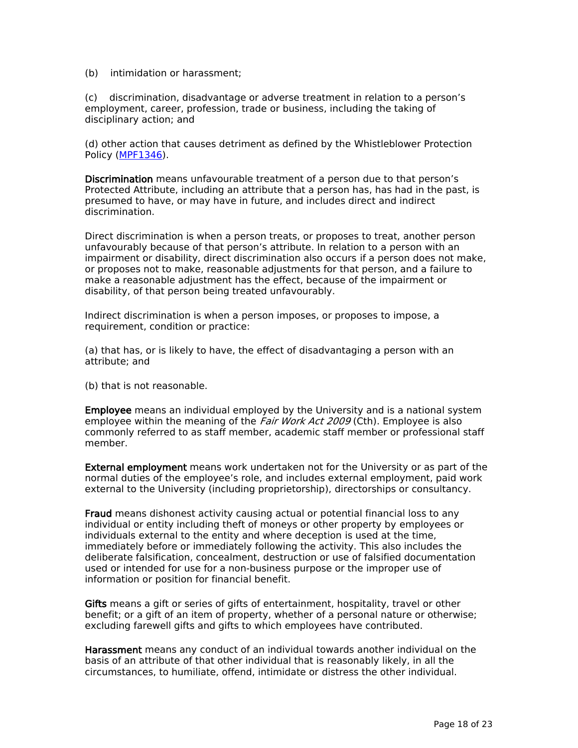#### (b) intimidation or harassment;

(c) discrimination, disadvantage or adverse treatment in relation to a person's employment, career, profession, trade or business, including the taking of disciplinary action; and

(d) other action that causes detriment as defined by the Whistleblower Protection Policy [\(MPF1346\)](file:/usr/local/tomcat/MPF1346).

**Discrimination** means unfavourable treatment of a person due to that person's Protected Attribute, including an attribute that a person has, has had in the past, is presumed to have, or may have in future, and includes direct and indirect discrimination.

Direct discrimination is when a person treats, or proposes to treat, another person unfavourably because of that person's attribute. In relation to a person with an impairment or disability, direct discrimination also occurs if a person does not make, or proposes not to make, reasonable adjustments for that person, and a failure to make a reasonable adjustment has the effect, because of the impairment or disability, of that person being treated unfavourably.

Indirect discrimination is when a person imposes, or proposes to impose, a requirement, condition or practice:

(a) that has, or is likely to have, the effect of disadvantaging a person with an attribute; and

(b) that is not reasonable.

**Employee** means an individual employed by the University and is a national system employee within the meaning of the *Fair Work Act 2009* (Cth). Employee is also commonly referred to as staff member, academic staff member or professional staff member.

**External employment** meanswork undertakennot for the University or as part of the normal duties of the employee's role, and includes external employment, paid work external to the University (including proprietorship), directorships or consultancy.

**Fraud** means dishonest activity causing actual or potential financial loss to any individual or entity including theft of moneys or other property by employees or individuals external to the entity and where deception is used at the time, immediately before or immediately following the activity. This also includes the deliberate falsification, concealment, destruction or use of falsified documentation used or intended for use for a non-business purpose or the improper use of information or position for financial benefit.

**Gifts** means a gift or series of gifts of entertainment, hospitality, travel or other benefit; or a gift of an item of property, whether of a personal nature or otherwise; excluding farewell gifts and gifts to which employees have contributed.

**Harassment** means any conduct of an individual towards another individual on the basis of an attribute of that other individual that is reasonably likely, in all the circumstances, to humiliate, offend, intimidate or distress the other individual.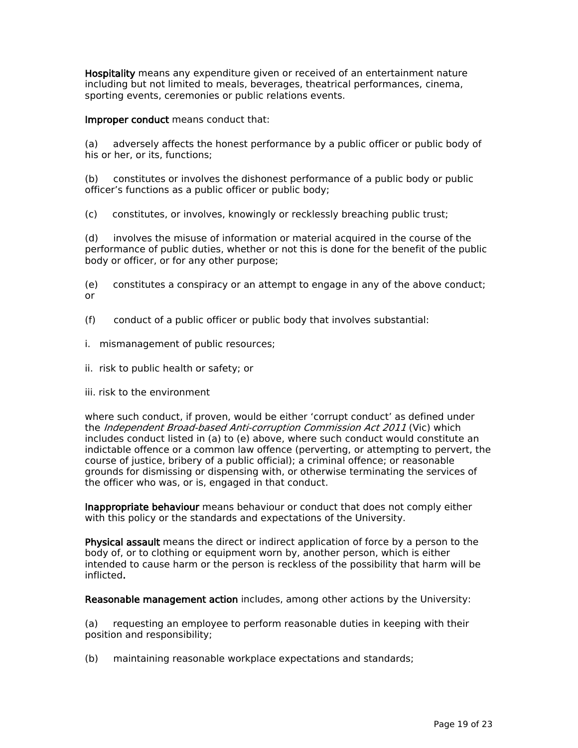**Hospitality** means any expenditure given or received of an entertainment nature including but not limited to meals, beverages, theatrical performances, cinema, sporting events, ceremonies or public relations events.

**Improper conduct** means conduct that:

(a) adversely affects the honest performance by a public officer or public body of his or her, or its, functions;

(b) constitutes or involves the dishonest performance of a public body or public officer's functions as a public officer or public body;

(c) constitutes, or involves, knowingly or recklessly breaching public trust;

(d) involves the misuse of information or material acquired in the course of the performance of public duties, whether or not this is done for the benefit of the public body or officer, or for any other purpose;

(e) constitutes a conspiracy or an attempt to engage in any of the above conduct; or

- (f) conduct of a public officer or public body that involves substantial:
- i. mismanagement of public resources;
- ii. risk to public health or safety; or
- iii. risk to the environment

where such conduct, if proven, would be either 'corrupt conduct' as defined under the *Independent Broad-based Anti-corruption Commission Act 2011* (Vic) which includes conduct listed in (a) to (e) above, where such conduct would constitute an indictable offence or a common law offence (perverting, or attempting to pervert, the course of justice, bribery of a public official); a criminal offence; or reasonable grounds for dismissing or dispensing with, or otherwise terminating the services of the officer who was, or is, engaged in that conduct.

**Inappropriate behaviour** means behaviour or conduct that does not comply either with this policy or the standards and expectations of the University.

**Physical assault** meansthe direct or indirect application of force by a person to the body of, or to clothing or equipment worn by, another person, which is either intended to cause harm or the person is reckless of the possibility that harm will be inflicted**.**

**Reasonable management action** includes, among other actions by the University:

(a) requesting an employee to perform reasonable duties in keeping with their position and responsibility;

(b) maintaining reasonable workplace expectations and standards;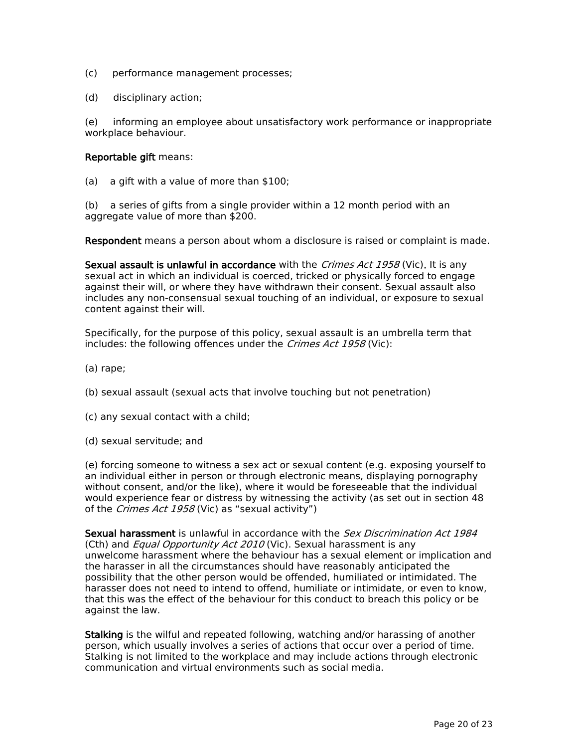- (c) performance management processes;
- (d) disciplinary action;

(e) informing an employee about unsatisfactory work performance or inappropriate workplace behaviour.

#### **Reportable gift** means:

(a) a gift with a value of more than \$100;

(b) a series of gifts from a single provider within a 12 month period with an aggregate value of more than \$200.

**Respondent** means a person about whom a disclosure is raised or complaint is made.

**Sexual assault is unlawful in accordance** with the *Crimes Act 1958* (Vic)**.** Itis any sexual act in which an individual is coerced, tricked or physically forced to engage against their will, or where they have withdrawn their consent. Sexual assault also includes any non-consensual sexual touching of an individual, or exposure to sexual content against their will.

Specifically, for the purpose of this policy, sexual assault is an umbrella term that includes: the following offences under the *Crimes Act 1958* (Vic):

(a) rape;

(b) sexual assault (sexual acts that involve touching but not penetration)

(c) any sexual contact with a child;

(d) sexual servitude; and

(e) forcing someone to witness a sex act or sexual content (e.g. exposing yourself to an individual either in person or through electronic means, displaying pornography without consent, and/or the like), where it would be foreseeable that the individual would experience fear or distress by witnessing the activity (as set out in section 48 of the *Crimes Act 1958* (Vic) as "sexual activity")

**Sexual harassment** is unlawful in accordance with the *Sex Discrimination Act 1984* (Cth) and *Equal Opportunity Act 2010* (Vic). Sexual harassmentis any unwelcome harassment where the behaviour has a sexual element or implication and the harasser in all the circumstances should have reasonably anticipated the possibility that the other person would be offended, humiliated or intimidated. The harasser does not need to intend to offend, humiliate or intimidate, or even to know, that this was the effect of the behaviour for this conduct to breach this policy or be against the law.

**Stalking** is the wilful and repeated following, watching and/or harassing of another person, which usually involves a series of actions that occur over a period of time. Stalking is not limited to the workplace and may include actions through electronic communication and virtual environments such as social media.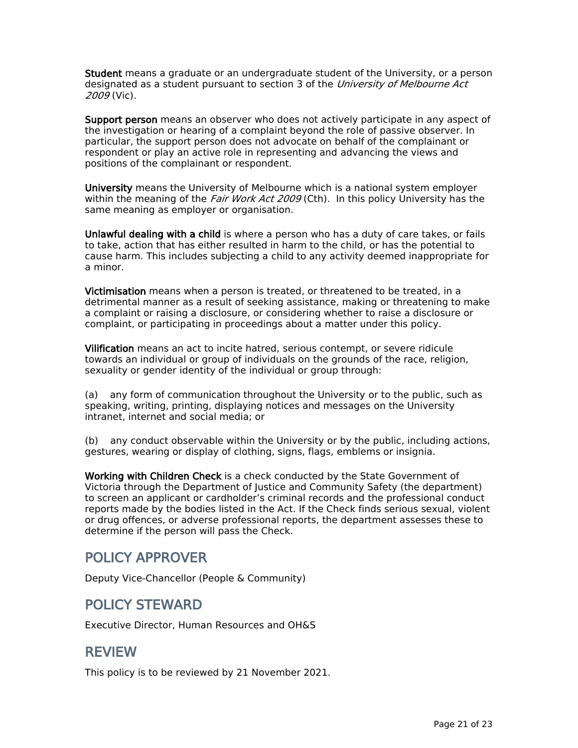**Student** means a graduate or an undergraduate student of the University, or a person designated as a student pursuant to section 3 of the *University of Melbourne Act 2009* (Vic).

**Support person** means an observer who does not actively participate in any aspect of the investigation or hearing of a complaint beyond the role of passive observer. In particular, the support person does not advocate on behalf of the complainant or respondent or play an active role in representing and advancing the views and positions of the complainant or respondent.

**University** means the University of Melbourne which is a national system employer within the meaning of the *Fair Work Act 2009* (Cth). In this policy University has the same meaning as employer or organisation.

**Unlawful dealing with a child** is where a person who has a duty of care takes, or fails to take, action that has either resulted in harm to the child, or has the potential to cause harm. This includes subjecting a child to any activity deemed inappropriate for a minor.

**Victimisation** means when a person is treated, or threatened to be treated, in a detrimental manner as a result of seeking assistance, making or threatening to make a complaint or raising a disclosure, or considering whether to raise a disclosure or complaint, or participating in proceedings about a matter under this policy.

**Vilification** means an act to incite hatred, serious contempt, or severe ridicule towards an individual or group of individuals on the grounds of the race, religion, sexuality or gender identity of the individual or group through:

(a) any form of communication throughout the University or to the public, such as speaking, writing, printing, displaying notices and messages on the University intranet, internet and social media; or

(b) any conduct observable within the University or by the public, including actions, gestures, wearing or display of clothing, signs, flags, emblems or insignia.

**Working with Children Check** is a check conducted by the State Government of Victoria through the Department of Justice and Community Safety (the department) to screen an applicant or cardholder's criminal records and the professional conduct reports made by the bodies listed in the Act. If the Check finds serious sexual, violent or drug offences, or adverse professional reports, the department assesses these to determine if the person will pass the Check.

## **POLICY APPROVER**

Deputy Vice-Chancellor (People & Community)

## **POLICY STEWARD**

Executive Director, Human Resources and OH&S

### **REVIEW**

This policy is to be reviewed by 21 November 2021.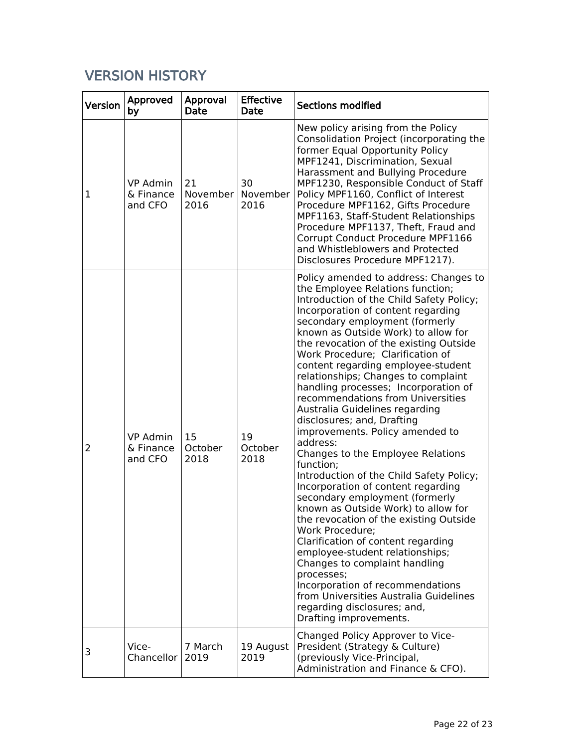## **VERSION HISTORY**

| <b>Version</b> | Approved<br>by                          | Approval<br>Date       | <b>Effective</b><br>Date | <b>Sections modified</b>                                                                                                                                                                                                                                                                                                                                                                                                                                                                                                                                                                                                                                                                                                                                                                                                                                                                                                                                                                                                                                                                                                             |
|----------------|-----------------------------------------|------------------------|--------------------------|--------------------------------------------------------------------------------------------------------------------------------------------------------------------------------------------------------------------------------------------------------------------------------------------------------------------------------------------------------------------------------------------------------------------------------------------------------------------------------------------------------------------------------------------------------------------------------------------------------------------------------------------------------------------------------------------------------------------------------------------------------------------------------------------------------------------------------------------------------------------------------------------------------------------------------------------------------------------------------------------------------------------------------------------------------------------------------------------------------------------------------------|
| 1              | <b>VP Admin</b><br>& Finance<br>and CFO | 21<br>November<br>2016 | 30<br>November<br>2016   | New policy arising from the Policy<br>Consolidation Project (incorporating the<br>former Equal Opportunity Policy<br>MPF1241, Discrimination, Sexual<br>Harassment and Bullying Procedure<br>MPF1230, Responsible Conduct of Staff<br>Policy MPF1160, Conflict of Interest<br>Procedure MPF1162, Gifts Procedure<br>MPF1163, Staff-Student Relationships<br>Procedure MPF1137, Theft, Fraud and<br>Corrupt Conduct Procedure MPF1166<br>and Whistleblowers and Protected<br>Disclosures Procedure MPF1217).                                                                                                                                                                                                                                                                                                                                                                                                                                                                                                                                                                                                                          |
| 2              | <b>VP Admin</b><br>& Finance<br>and CFO | 15<br>October<br>2018  | 19<br>October<br>2018    | Policy amended to address: Changes to<br>the Employee Relations function;<br>Introduction of the Child Safety Policy;<br>Incorporation of content regarding<br>secondary employment (formerly<br>known as Outside Work) to allow for<br>the revocation of the existing Outside<br>Work Procedure; Clarification of<br>content regarding employee-student<br>relationships; Changes to complaint<br>handling processes; Incorporation of<br>recommendations from Universities<br>Australia Guidelines regarding<br>disclosures; and, Drafting<br>improvements. Policy amended to<br>address:<br>Changes to the Employee Relations<br>function;<br>Introduction of the Child Safety Policy;<br>Incorporation of content regarding<br>secondary employment (formerly<br>known as Outside Work) to allow for<br>the revocation of the existing Outside<br>Work Procedure;<br>Clarification of content regarding<br>employee-student relationships;<br>Changes to complaint handling<br>processes;<br>Incorporation of recommendations<br>from Universities Australia Guidelines<br>regarding disclosures; and,<br>Drafting improvements. |
| 3              | Vice-<br>Chancellor                     | 7 March<br>2019        | 19 August<br>2019        | Changed Policy Approver to Vice-<br>President (Strategy & Culture)<br>(previously Vice-Principal,<br>Administration and Finance & CFO).                                                                                                                                                                                                                                                                                                                                                                                                                                                                                                                                                                                                                                                                                                                                                                                                                                                                                                                                                                                              |